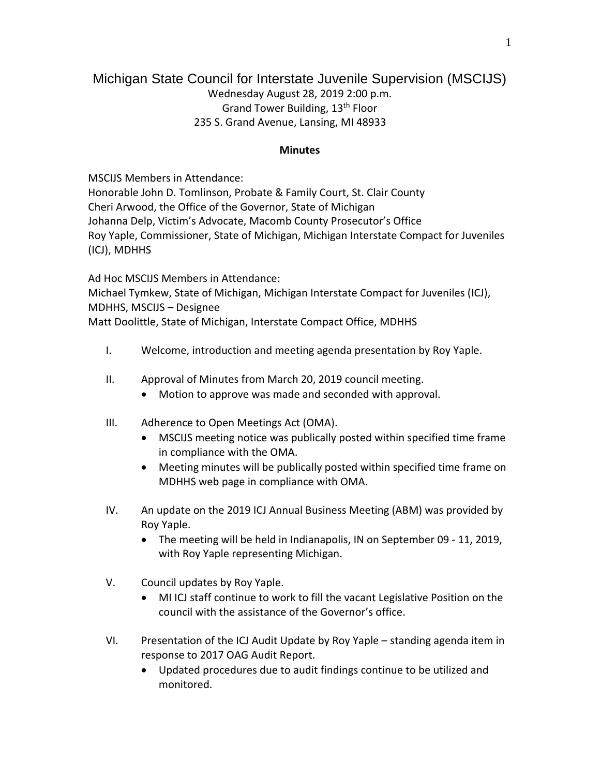## Michigan State Council for Interstate Juvenile Supervision (MSCIJS)

Wednesday August 28, 2019 2:00 p.m. Grand Tower Building, 13th Floor 235 S. Grand Avenue, Lansing, MI 48933

## **Minutes**

MSCIJS Members in Attendance:

Honorable John D. Tomlinson, Probate & Family Court, St. Clair County Cheri Arwood, the Office of the Governor, State of Michigan Johanna Delp, Victim's Advocate, Macomb County Prosecutor's Office Roy Yaple, Commissioner, State of Michigan, Michigan Interstate Compact for Juveniles (ICJ), MDHHS

Ad Hoc MSCIJS Members in Attendance: Michael Tymkew, State of Michigan, Michigan Interstate Compact for Juveniles (ICJ), MDHHS, MSCIJS – Designee Matt Doolittle, State of Michigan, Interstate Compact Office, MDHHS

- I. Welcome, introduction and meeting agenda presentation by Roy Yaple.
- II. Approval of Minutes from March 20, 2019 council meeting.
	- Motion to approve was made and seconded with approval.
- III. Adherence to Open Meetings Act (OMA).
	- MSCIJS meeting notice was publically posted within specified time frame in compliance with the OMA.
	- Meeting minutes will be publically posted within specified time frame on MDHHS web page in compliance with OMA.
- IV. An update on the 2019 ICJ Annual Business Meeting (ABM) was provided by Roy Yaple.
	- The meeting will be held in Indianapolis, IN on September 09 11, 2019, with Roy Yaple representing Michigan.
- V. Council updates by Roy Yaple.
	- MI ICJ staff continue to work to fill the vacant Legislative Position on the council with the assistance of the Governor's office.
- VI. Presentation of the ICJ Audit Update by Roy Yaple standing agenda item in response to 2017 OAG Audit Report.
	- Updated procedures due to audit findings continue to be utilized and monitored.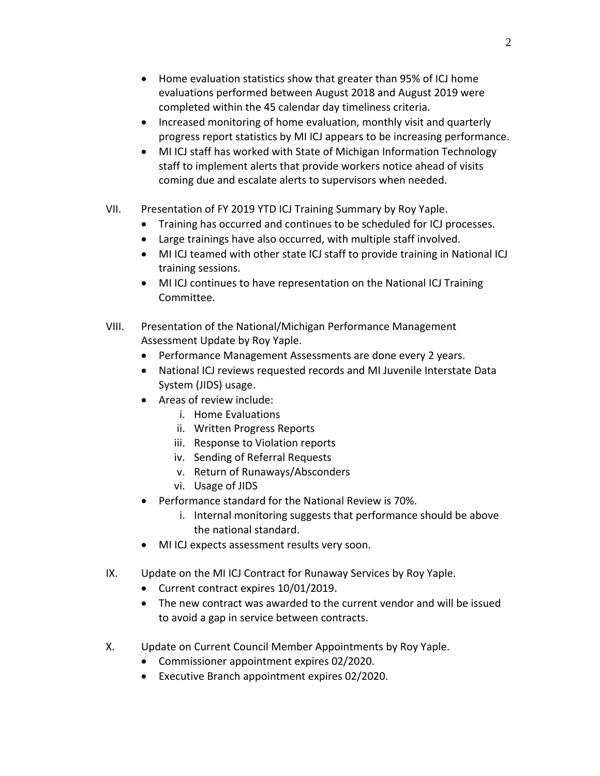- Home evaluation statistics show that greater than 95% of ICJ home evaluations performed between August 2018 and August 2019 were completed within the 45 calendar day timeliness criteria.
- Increased monitoring of home evaluation, monthly visit and quarterly progress report statistics by MI ICJ appears to be increasing performance.
- MI ICJ staff has worked with State of Michigan Information Technology staff to implement alerts that provide workers notice ahead of visits coming due and escalate alerts to supervisors when needed.
- VII. Presentation of FY 2019 YTD ICJ Training Summary by Roy Yaple.
	- Training has occurred and continues to be scheduled for ICJ processes.
	- Large trainings have also occurred, with multiple staff involved.
	- MI ICJ teamed with other state ICJ staff to provide training in National ICJ training sessions.
	- MI ICJ continues to have representation on the National ICJ Training Committee.
- VIII. Presentation of the National/Michigan Performance Management Assessment Update by Roy Yaple.
	- Performance Management Assessments are done every 2 years.
	- National ICJ reviews requested records and MI Juvenile Interstate Data System (JIDS) usage.
	- Areas of review include:
		- i. Home Evaluations
		- ii. Written Progress Reports
		- iii. Response to Violation reports
		- iv. Sending of Referral Requests
		- v. Return of Runaways/Absconders
		- vi. Usage of JIDS
	- Performance standard for the National Review is 70%.
		- i. Internal monitoring suggests that performance should be above the national standard.
	- MI ICJ expects assessment results very soon.
- IX. Update on the MI ICJ Contract for Runaway Services by Roy Yaple.
	- Current contract expires 10/01/2019.
	- The new contract was awarded to the current vendor and will be issued to avoid a gap in service between contracts.
- X. Update on Current Council Member Appointments by Roy Yaple.
	- Commissioner appointment expires 02/2020.
	- Executive Branch appointment expires 02/2020.